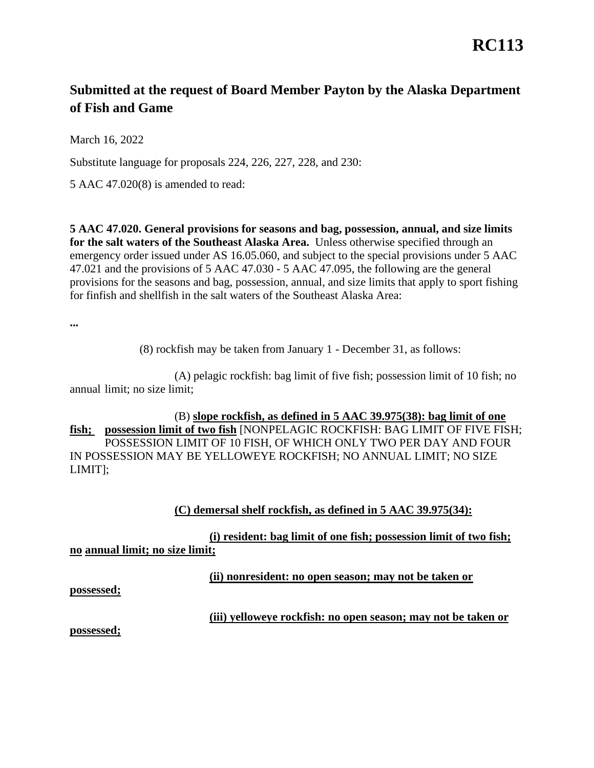# **RC113**

## **Submitted at the request of Board Member Payton by the Alaska Department of Fish and Game**

March 16, 2022

March 16, 2022<br>Substitute language for proposals 224, 226, 227, 228, and 230:

5 AAC 47.020(8) is amended to read:

 **for the salt waters of the Southeast Alaska Area.** Unless otherwise specified through an for finfish and shellfish in the salt waters of the Southeast Alaska Area: **5 AAC 47.020. General provisions for seasons and bag, possession, annual, and size limits**  emergency order issued under AS 16.05.060, and subject to the special provisions under 5 AAC 47.021 and the provisions of 5 AAC 47.030 - 5 AAC 47.095, the following are the general provisions for the seasons and bag, possession, annual, and size limits that apply to sport fishing

**...** 

(8) rockfish may be taken from January 1 - December 31, as follows:

 annual limit; no size limit; (A) pelagic rockfish: bag limit of five fish; possession limit of 10 fish; no

### (B) **slope rockfish, as defined in 5 AAC 39.975(38): bag limit of one**

 POSSESSION LIMIT OF 10 FISH, OF WHICH ONLY TWO PER DAY AND FOUR **fish; possession limit of two fish** [NONPELAGIC ROCKFISH: BAG LIMIT OF FIVE FISH; IN POSSESSION MAY BE YELLOWEYE ROCKFISH; NO ANNUAL LIMIT; NO SIZE LIMIT];

### (C) demersal shelf rockfish, as defined in 5 AAC 39.975(34):

no annual limit; no size limit; **(i)** resident: bag limit of one fish; possession limit of two fish;

*(ii)* **nonresident: no open season; may not be taken or** 

**possessed;** 

### **(iii) yelloweye rockfish: no open season; may not be taken or**

**possessed;**